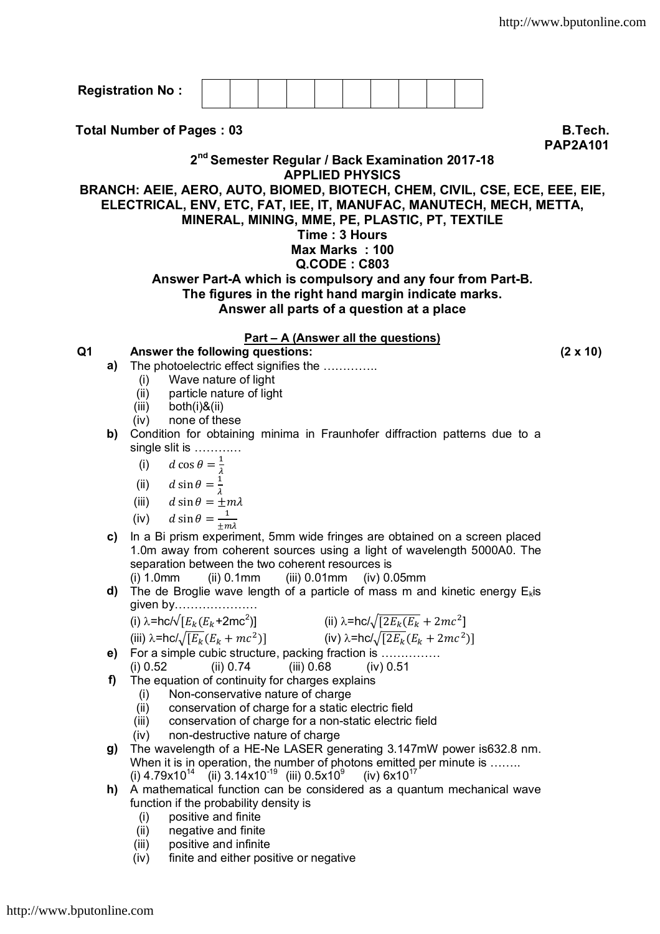|                                                                                                    | <b>Registration No:</b>                                                                                                                           |                                                             |                                            |                                 |                                                  |  |  |  |  |                                                                             |
|----------------------------------------------------------------------------------------------------|---------------------------------------------------------------------------------------------------------------------------------------------------|-------------------------------------------------------------|--------------------------------------------|---------------------------------|--------------------------------------------------|--|--|--|--|-----------------------------------------------------------------------------|
|                                                                                                    | <b>Total Number of Pages: 03</b>                                                                                                                  |                                                             |                                            |                                 |                                                  |  |  |  |  | <b>B.Tech.</b>                                                              |
|                                                                                                    |                                                                                                                                                   | 2 <sup>nd</sup> Semester Regular / Back Examination 2017-18 |                                            |                                 |                                                  |  |  |  |  | <b>PAP2A101</b>                                                             |
|                                                                                                    |                                                                                                                                                   |                                                             |                                            | <b>APPLIED PHYSICS</b>          |                                                  |  |  |  |  | BRANCH: AEIE, AERO, AUTO, BIOMED, BIOTECH, CHEM, CIVIL, CSE, ECE, EEE, EIE, |
|                                                                                                    | ELECTRICAL, ENV, ETC, FAT, IEE, IT, MANUFAC, MANUTECH, MECH, METTA,                                                                               |                                                             |                                            |                                 |                                                  |  |  |  |  |                                                                             |
|                                                                                                    |                                                                                                                                                   | MINERAL, MINING, MME, PE, PLASTIC, PT, TEXTILE              |                                            |                                 |                                                  |  |  |  |  |                                                                             |
|                                                                                                    |                                                                                                                                                   |                                                             |                                            | Time: 3 Hours<br>Max Marks: 100 |                                                  |  |  |  |  |                                                                             |
|                                                                                                    |                                                                                                                                                   |                                                             |                                            | $Q$ .CODE: $C803$               |                                                  |  |  |  |  |                                                                             |
|                                                                                                    |                                                                                                                                                   | Answer Part-A which is compulsory and any four from Part-B. |                                            |                                 |                                                  |  |  |  |  |                                                                             |
|                                                                                                    |                                                                                                                                                   | The figures in the right hand margin indicate marks.        | Answer all parts of a question at a place  |                                 |                                                  |  |  |  |  |                                                                             |
|                                                                                                    |                                                                                                                                                   |                                                             |                                            |                                 |                                                  |  |  |  |  |                                                                             |
| Q <sub>1</sub>                                                                                     | Answer the following questions:                                                                                                                   |                                                             | <u>Part – A (Answer all the questions)</u> |                                 |                                                  |  |  |  |  | $(2 \times 10)$                                                             |
| a)                                                                                                 | The photoelectric effect signifies the                                                                                                            |                                                             |                                            |                                 |                                                  |  |  |  |  |                                                                             |
|                                                                                                    | (i)                                                                                                                                               | Wave nature of light                                        |                                            |                                 |                                                  |  |  |  |  |                                                                             |
|                                                                                                    | (ii)<br>(iii)<br>both(i)&(ii)                                                                                                                     | particle nature of light                                    |                                            |                                 |                                                  |  |  |  |  |                                                                             |
|                                                                                                    | (iv)                                                                                                                                              | none of these                                               |                                            |                                 |                                                  |  |  |  |  |                                                                             |
| Condition for obtaining minima in Fraunhofer diffraction patterns due to a<br>b)<br>single slit is |                                                                                                                                                   |                                                             |                                            |                                 |                                                  |  |  |  |  |                                                                             |
|                                                                                                    | d cos $\theta = \frac{1}{\lambda}$<br>(i)                                                                                                         |                                                             |                                            |                                 |                                                  |  |  |  |  |                                                                             |
|                                                                                                    | $d \sin \theta = \frac{1}{2}$<br>(ii)                                                                                                             |                                                             |                                            |                                 |                                                  |  |  |  |  |                                                                             |
|                                                                                                    | (iii) $d \sin \theta = \pm m \lambda$                                                                                                             |                                                             |                                            |                                 |                                                  |  |  |  |  |                                                                             |
|                                                                                                    |                                                                                                                                                   |                                                             |                                            |                                 |                                                  |  |  |  |  |                                                                             |
| C)                                                                                                 | (iv) $d \sin \theta = \frac{1}{\pm m\lambda}$<br>In a Bi prism experiment, 5mm wide fringes are obtained on a screen placed                       |                                                             |                                            |                                 |                                                  |  |  |  |  |                                                                             |
| 1.0m away from coherent sources using a light of wavelength 5000A0. The                            |                                                                                                                                                   |                                                             |                                            |                                 |                                                  |  |  |  |  |                                                                             |
| separation between the two coherent resources is                                                   |                                                                                                                                                   |                                                             |                                            |                                 |                                                  |  |  |  |  |                                                                             |
| d)                                                                                                 | $(i)$ 1.0mm<br>(ii) 0.1mm<br>$(iii)$ 0.01mm<br>$(iv)$ 0.05 $mm$<br>The de Broglie wave length of a particle of mass m and kinetic energy $E_k$ is |                                                             |                                            |                                 |                                                  |  |  |  |  |                                                                             |
|                                                                                                    | given by                                                                                                                                          |                                                             |                                            |                                 |                                                  |  |  |  |  |                                                                             |
|                                                                                                    | (i) $\lambda$ =hc/ $\sqrt{E_k(E_k+2mc^2)}$                                                                                                        |                                                             |                                            |                                 | (ii) $\lambda$ =hc/ $\sqrt{[2E_k(E_k + 2mc^2]}$  |  |  |  |  |                                                                             |
|                                                                                                    | (iii) $\lambda$ =hc/ $\sqrt{[E_k]}(E_k + mc^2)]$                                                                                                  |                                                             |                                            |                                 | (iv) $\lambda$ =hc/ $\sqrt{[2E_k}(E_k + 2mc^2)]$ |  |  |  |  |                                                                             |

- **e)** For a simple cubic structure, packing fraction is …………… (i) 0.52 (ii) 0.74 (iii) 0.68 (iv) 0.51
- **f)** The equation of continuity for charges explains
	- (i) Non-conservative nature of charge
	-
	- (ii) conservation of charge for a static electric field<br>(iii) conservation of charge for a non-static electric (iii) conservation of charge for a non-static electric field<br>(iv) non-destructive nature of charge
	- non-destructive nature of charge
- **g)** The wavelength of a HE-Ne LASER generating 3.147mW power is632.8 nm. When it is in operation, the number of photons emitted per minute is …….. (i) 4.79x10<sup>14</sup> (ii) 3.14x10<sup>-19</sup> (iii) 0.5x10<sup>9</sup> (iv) 6x10<sup>17</sup>
- **h)** A mathematical function can be considered as a quantum mechanical wave function if the probability density is
	- (i) positive and finite
	- (ii) negative and finite
	- (iii) positive and infinite<br>(iv) finite and either pos
	- finite and either positive or negative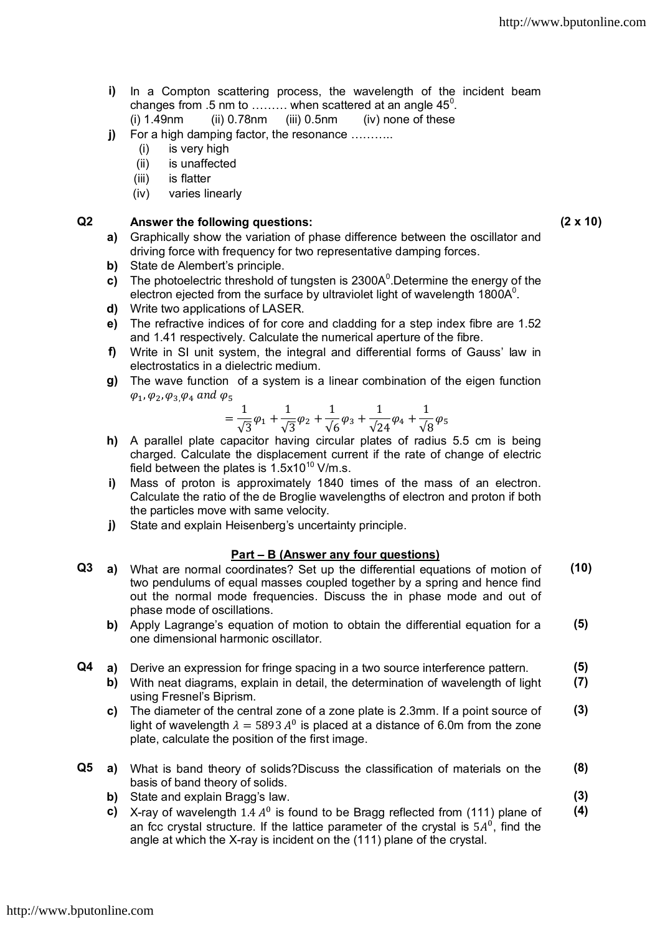- **i)** In a Compton scattering process, the wavelength of the incident beam changes from .5 nm to ……… when scattered at an angle 45 $^{\rm 0}$ .
	- $(i)$  1.49nm  $(ii)$  0.78nm  $(iii)$  0.5nm  $(iv)$  none of these
- **j)** For a high damping factor, the resonance ……….
	- (i) is very high
	- (ii) is unaffected
	- (iii) is flatter
	- (iv) varies linearly

## **Q2 Answer the following questions: (2 x 10)**

- **a)** Graphically show the variation of phase difference between the oscillator and driving force with frequency for two representative damping forces.
- **b)** State de Alembert's principle.
- c) The photoelectric threshold of tungsten is 2300A<sup>0</sup>.Determine the energy of the electron ejected from the surface by ultraviolet light of wavelength 1800A $^0$ .
- **d)** Write two applications of LASER.
- **e)** The refractive indices of for core and cladding for a step index fibre are 1.52 and 1.41 respectively. Calculate the numerical aperture of the fibre.
- **f)** Write in SI unit system, the integral and differential forms of Gauss' law in electrostatics in a dielectric medium.
- **g)** The wave function of a system is a linear combination of the eigen function  $\varphi_1$ ,  $\varphi_2$ ,  $\varphi_3$ ,  $\varphi_4$  and  $\varphi_5$

$$
=\frac{1}{\sqrt{3}}\phi_1+\frac{1}{\sqrt{3}}\phi_2+\frac{1}{\sqrt{6}}\phi_3+\frac{1}{\sqrt{24}}\phi_4+\frac{1}{\sqrt{8}}\phi_5
$$

- **h)** A parallel plate capacitor having circular plates of radius 5.5 cm is being charged. Calculate the displacement current if the rate of change of electric field between the plates is  $1.5x10^{10}$  V/m.s.
- **i)** Mass of proton is approximately 1840 times of the mass of an electron. Calculate the ratio of the de Broglie wavelengths of electron and proton if both the particles move with same velocity.
- **j)** State and explain Heisenberg's uncertainty principle.

## **Part – B (Answer any four questions)**

- **Q3 a)** What are normal coordinates? Set up the differential equations of motion of two pendulums of equal masses coupled together by a spring and hence find out the normal mode frequencies. Discuss the in phase mode and out of phase mode of oscillations. **(10)**
	- **b)** Apply Lagrange's equation of motion to obtain the differential equation for a one dimensional harmonic oscillator. **(5)**
- **Q4 a)** Derive an expression for fringe spacing in a two source interference pattern. **(5)**
	- **b)** With neat diagrams, explain in detail, the determination of wavelength of light using Fresnel's Biprism. **(7)**
	- **c)** The diameter of the central zone of a zone plate is 2.3mm. If a point source of light of wavelength  $\lambda = 5893 \, A^0$  is placed at a distance of 6.0m from the zone plate, calculate the position of the first image. **(3)**
- **Q5 a)** What is band theory of solids?Discuss the classification of materials on the basis of band theory of solids. **(8)**
	- **b)** State and explain Bragg's law. **(3)**
	- c) X-ray of wavelength  $1.4 A<sup>0</sup>$  is found to be Bragg reflected from (111) plane of an fcc crystal structure. If the lattice parameter of the crystal is  $5A<sup>0</sup>$ , find the angle at which the X-ray is incident on the (111) plane of the crystal. **(4)**